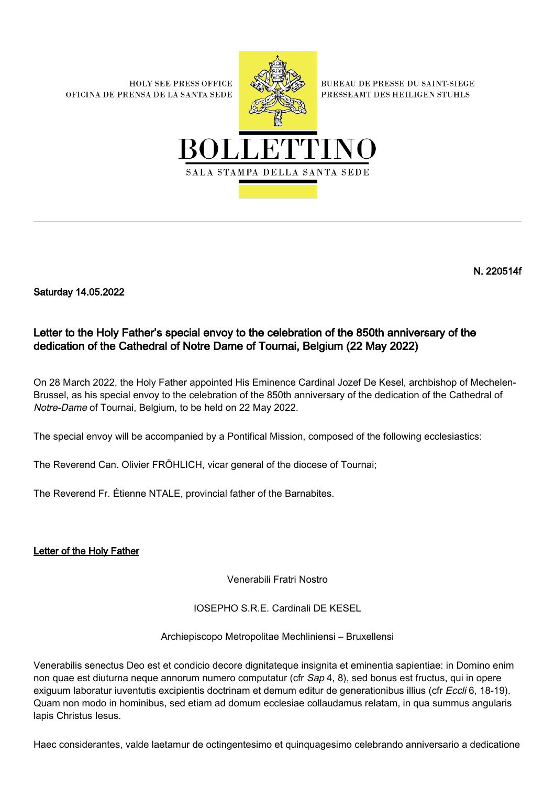**HOLY SEE PRESS OFFICE** OFICINA DE PRENSA DE LA SANTA SEDE



**BUREAU DE PRESSE DU SAINT-SIEGE** PRESSEAMT DES HEILIGEN STUHLS



N. 220514f

Saturday 14.05.2022

## Letter to the Holy Father's special envoy to the celebration of the 850th anniversary of the dedication of the Cathedral of Notre Dame of Tournai, Belgium (22 May 2022)

On 28 March 2022, the Holy Father appointed His Eminence Cardinal Jozef De Kesel, archbishop of Mechelen-Brussel, as his special envoy to the celebration of the 850th anniversary of the dedication of the Cathedral of Notre-Dame of Tournai, Belgium, to be held on 22 May 2022.

The special envoy will be accompanied by a Pontifical Mission, composed of the following ecclesiastics:

The Reverend Can. Olivier FRÖHLICH, vicar general of the diocese of Tournai;

The Reverend Fr. Étienne NTALE, provincial father of the Barnabites.

Letter of the Holy Father

Venerabili Fratri Nostro

IOSEPHO S.R.E. Cardinali DE KESEL

Archiepiscopo Metropolitae Mechliniensi – Bruxellensi

Venerabilis senectus Deo est et condicio decore dignitateque insignita et eminentia sapientiae: in Domino enim non quae est diuturna neque annorum numero computatur (cfr Sap 4, 8), sed bonus est fructus, qui in opere exiguum laboratur iuventutis excipientis doctrinam et demum editur de generationibus illius (cfr Eccli 6, 18-19). Quam non modo in hominibus, sed etiam ad domum ecclesiae collaudamus relatam, in qua summus angularis lapis Christus Iesus.

Haec considerantes, valde laetamur de octingentesimo et quinquagesimo celebrando anniversario a dedicatione